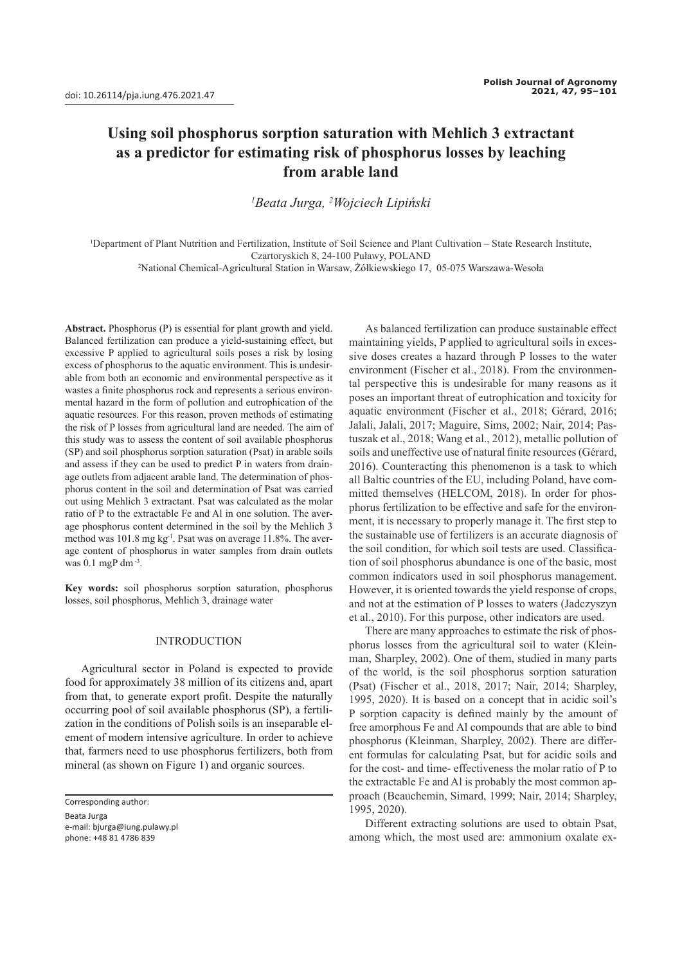# **Using soil phosphorus sorption saturation with Mehlich 3 extractant as a predictor for estimating risk of phosphorus losses by leaching from arable land**

*1 Beata Jurga, 2 Wojciech Lipiński*

1 Department of Plant Nutrition and Fertilization, Institute of Soil Science and Plant Cultivation – State Research Institute, Czartoryskich 8, 24-100 Puławy, POLAND

2 National Chemical-Agricultural Station in Warsaw, Żółkiewskiego 17, 05-075 Warszawa-Wesoła

Abstract. Phosphorus (P) is essential for plant growth and yield. Balanced fertilization can produce a yield-sustaining effect, but excessive P applied to agricultural soils poses a risk by losing excess of phosphorus to the aquatic environment. This is undesirable from both an economic and environmental perspective as it wastes a finite phosphorus rock and represents a serious environmental hazard in the form of pollution and eutrophication of the aquatic resources. For this reason, proven methods of estimating the risk of P losses from agricultural land are needed. The aim of this study was to assess the content of soil available phosphorus (SP) and soil phosphorus sorption saturation (Psat) in arable soils and assess if they can be used to predict P in waters from drainage outlets from adjacent arable land. The determination of phosphorus content in the soil and determination of Psat was carried out using Mehlich 3 extractant. Psat was calculated as the molar ratio of P to the extractable Fe and Al in one solution. The average phosphorus content determined in the soil by the Mehlich 3 method was 101.8 mg kg-1. Psat was on average 11.8%. The average content of phosphorus in water samples from drain outlets was 0.1 mgP dm<sup>-3</sup>.

**Key words:** soil phosphorus sorption saturation, phosphorus losses, soil phosphorus, Mehlich 3, drainage water

## INTRODUCTION

Agricultural sector in Poland is expected to provide food for approximately 38 million of its citizens and, apart from that, to generate export profit. Despite the naturally occurring pool of soil available phosphorus (SP), a fertilization in the conditions of Polish soils is an inseparable element of modern intensive agriculture. In order to achieve that, farmers need to use phosphorus fertilizers, both from mineral (as shown on Figure 1) and organic sources.

Beata Jurga

As balanced fertilization can produce sustainable effect maintaining yields, P applied to agricultural soils in excessive doses creates a hazard through P losses to the water environment (Fischer et al., 2018). From the environmental perspective this is undesirable for many reasons as it poses an important threat of eutrophication and toxicity for aquatic environment (Fischer et al., 2018; Gérard, 2016; Jalali, Jalali, 2017; Maguire, Sims, 2002; Nair, 2014; Pastuszak et al., 2018; Wang et al., 2012), metallic pollution of soils and uneffective use of natural finite resources (Gérard, 2016). Counteracting this phenomenon is a task to which all Baltic countries of the EU, including Poland, have committed themselves (HELCOM, 2018). In order for phosphorus fertilization to be effective and safe for the environment, it is necessary to properly manage it. The first step to the sustainable use of fertilizers is an accurate diagnosis of the soil condition, for which soil tests are used. Classification of soil phosphorus abundance is one of the basic, most common indicators used in soil phosphorus management. However, it is oriented towards the yield response of crops, and not at the estimation of P losses to waters (Jadczyszyn et al., 2010). For this purpose, other indicators are used.

There are many approaches to estimate the risk of phosphorus losses from the agricultural soil to water (Kleinman, Sharpley, 2002). One of them, studied in many parts of the world, is the soil phosphorus sorption saturation (Psat) (Fischer et al., 2018, 2017; Nair, 2014; Sharpley, 1995, 2020). It is based on a concept that in acidic soil's P sorption capacity is defined mainly by the amount of free amorphous Fe and Al compounds that are able to bind phosphorus (Kleinman, Sharpley, 2002). There are different formulas for calculating Psat, but for acidic soils and for the cost- and time- effectiveness the molar ratio of P to the extractable Fe and Al is probably the most common approach (Beauchemin, Simard, 1999; Nair, 2014; Sharpley, 1995, 2020).

Different extracting solutions are used to obtain Psat, among which, the most used are: ammonium oxalate ex-

Corresponding author:

e-mail: bjurga@iung.pulawy.pl phone: +48 81 4786 839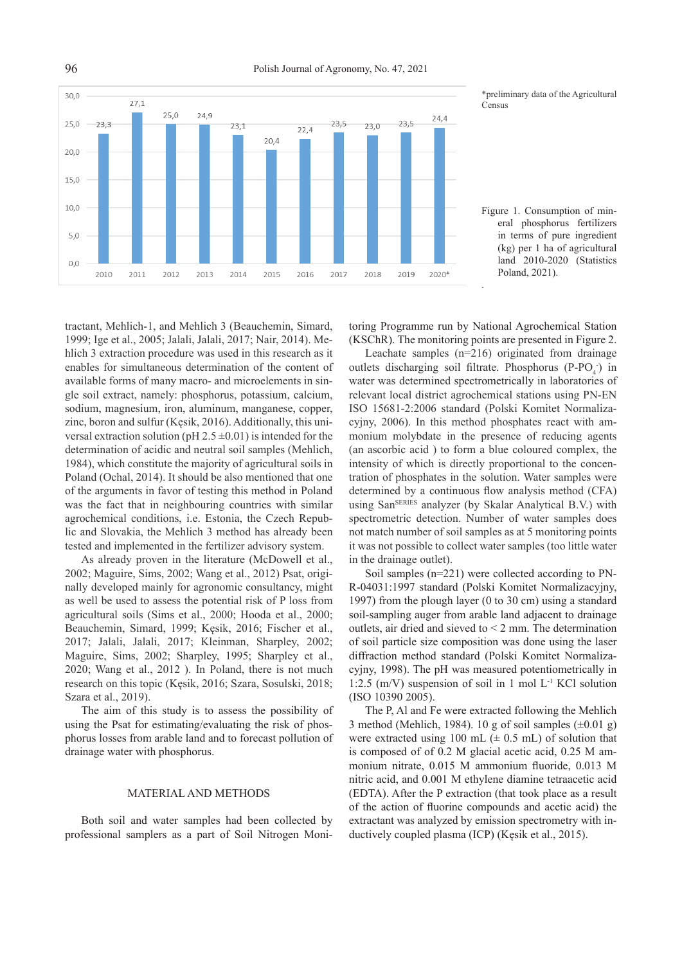96 Polish Journal of Agronomy, No. 47, 2021

30,0  $27,1$ 25.0 24.9 24,4  $235$ 25.0  $23.3$  $235$  $23,1$  $23.0$  $22.4$  $20,4$  $20.0$  $15<sub>c</sub>$  $10,0$  $5.0$  $O, O$ 2010 2011 2012 2013 2014 2015 2016 2017 2018 2019  $2020*$ 

\*preliminary data of the Agricultural Census

Figure 1. Consumption of mineral phosphorus fertilizers in terms of pure ingredient (kg) per 1 ha of agricultural land 2010-2020 (Statistics Poland, 2021).

tractant, Mehlich-1, and Mehlich 3 (Beauchemin, Simard, 1999; Ige et al., 2005; Jalali, Jalali, 2017; Nair, 2014). Mehlich 3 extraction procedure was used in this research as it enables for simultaneous determination of the content of available forms of many macro- and microelements in single soil extract, namely: phosphorus, potassium, calcium, sodium, magnesium, iron, aluminum, manganese, copper, zinc, boron and sulfur (Kęsik, 2016). Additionally, this universal extraction solution (pH  $2.5 \pm 0.01$ ) is intended for the determination of acidic and neutral soil samples (Mehlich, 1984), which constitute the majority of agricultural soils in Poland (Ochal, 2014). It should be also mentioned that one of the arguments in favor of testing this method in Poland was the fact that in neighbouring countries with similar agrochemical conditions, i.e. Estonia, the Czech Republic and Slovakia, the Mehlich 3 method has already been tested and implemented in the fertilizer advisory system.

As already proven in the literature (McDowell et al., 2002; Maguire, Sims, 2002; Wang et al., 2012) Psat, originally developed mainly for agronomic consultancy, might as well be used to assess the potential risk of P loss from agricultural soils (Sims et al., 2000; Hooda et al., 2000; Beauchemin, Simard, 1999; Kęsik, 2016; Fischer et al., 2017; Jalali, Jalali, 2017; Kleinman, Sharpley, 2002; Maguire, Sims, 2002; Sharpley, 1995; Sharpley et al., 2020; Wang et al., 2012 ). In Poland, there is not much research on this topic (Kęsik, 2016; Szara, Sosulski, 2018; Szara et al., 2019).

The aim of this study is to assess the possibility of using the Psat for estimating/evaluating the risk of phosphorus losses from arable land and to forecast pollution of drainage water with phosphorus.

## MATERIAL AND METHODS

Both soil and water samples had been collected by professional samplers as a part of Soil Nitrogen Moni-

toring Programme run by National Agrochemical Station (KSChR). The monitoring points are presented in Figure 2.

.

Leachate samples (n=216) originated from drainage outlets discharging soil filtrate. Phosphorus  $($ P-PO<sub>4</sub> $)$  in water was determined spectrometrically in laboratories of relevant local district agrochemical stations using PN-EN ISO 15681-2:2006 standard (Polski Komitet Normalizacyjny, 2006). In this method phosphates react with ammonium molybdate in the presence of reducing agents (an ascorbic acid ) to form a blue coloured complex, the intensity of which is directly proportional to the concentration of phosphates in the solution. Water samples were determined by a continuous flow analysis method (CFA) using San<sup>SERIES</sup> analyzer (by Skalar Analytical B.V.) with spectrometric detection. Number of water samples does not match number of soil samples as at 5 monitoring points it was not possible to collect water samples (too little water in the drainage outlet).

Soil samples (n=221) were collected according to PN-R-04031:1997 standard (Polski Komitet Normalizacyjny, 1997) from the plough layer (0 to 30 cm) using a standard soil-sampling auger from arable land adjacent to drainage outlets, air dried and sieved to < 2 mm. The determination of soil particle size composition was done using the laser diffraction method standard (Polski Komitet Normalizacyjny, 1998). The pH was measured potentiometrically in 1:2.5 (m/V) suspension of soil in 1 mol L-1 KCl solution (ISO 10390 2005).

The P, Al and Fe were extracted following the Mehlich 3 method (Mehlich, 1984). 10 g of soil samples  $(\pm 0.01 \text{ g})$ were extracted using 100 mL  $(\pm 0.5 \text{ mL})$  of solution that is composed of of 0.2 M glacial acetic acid, 0.25 M ammonium nitrate, 0.015 M ammonium fluoride, 0.013 M nitric acid, and 0.001 M ethylene diamine tetraacetic acid (EDTA). After the P extraction (that took place as a result of the action of fluorine compounds and acetic acid) the extractant was analyzed by emission spectrometry with inductively coupled plasma (ICP) (Kęsik et al., 2015).

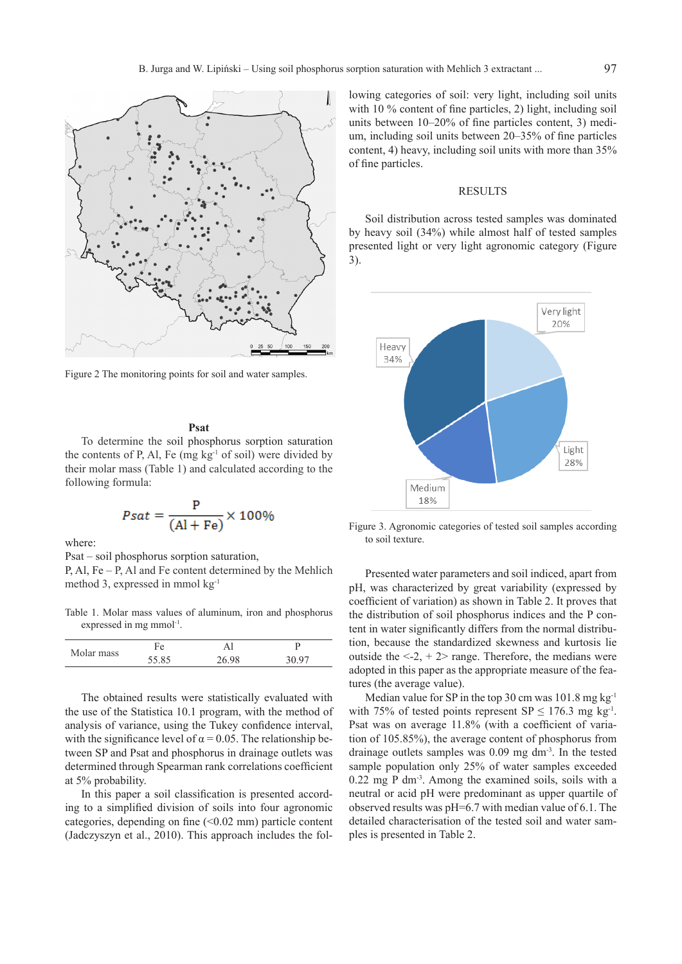

Figure 2 The monitoring points for soil and water samples.

### **Psat**

To determine the soil phosphorus sorption saturation the contents of P, Al, Fe (mg  $kg<sup>-1</sup>$  of soil) were divided by their molar mass (Table 1) and calculated according to the following formula:

$$
Psat = \frac{P}{(Al + Fe)} \times 100\%
$$

where:

Psat – soil phosphorus sorption saturation,

P, Al, Fe – P, Al and Fe content determined by the Mehlich method 3, expressed in mmol kg-1

Table 1. Molar mass values of aluminum, iron and phosphorus expressed in mg mmol<sup>-1</sup>.

| Molar mass | Fe    |       |  |
|------------|-------|-------|--|
|            | 55.85 | 26.QQ |  |

The obtained results were statistically evaluated with the use of the Statistica 10.1 program, with the method of analysis of variance, using the Tukey confidence interval, with the significance level of  $\alpha = 0.05$ . The relationship between SP and Psat and phosphorus in drainage outlets was determined through Spearman rank correlations coefficient at 5% probability.

In this paper a soil classification is presented according to a simplified division of soils into four agronomic categories, depending on fine  $( $0.02 \text{ mm}$ )$  particle content (Jadczyszyn et al., 2010). This approach includes the fol-

lowing categories of soil: very light, including soil units with 10 % content of fine particles, 2) light, including soil units between 10–20% of fine particles content, 3) medium, including soil units between 20–35% of fine particles content, 4) heavy, including soil units with more than 35% of fine particles.

#### **RESULTS**

Soil distribution across tested samples was dominated by heavy soil (34%) while almost half of tested samples presented light or very light agronomic category (Figure 3).



Figure 3. Agronomic categories of tested soil samples according to soil texture.

Presented water parameters and soil indiced, apart from pH, was characterized by great variability (expressed by coefficient of variation) as shown in Table 2. It proves that the distribution of soil phosphorus indices and the P content in water significantly differs from the normal distribution, because the standardized skewness and kurtosis lie outside the  $\leq -2$ ,  $+2$  range. Therefore, the medians were adopted in this paper as the appropriate measure of the features (the average value).

Median value for SP in the top 30 cm was  $101.8$  mg kg<sup>-1</sup> with 75% of tested points represent  $SP \le 176.3$  mg kg<sup>-1</sup>. Psat was on average 11.8% (with a coefficient of variation of 105.85%), the average content of phosphorus from drainage outlets samples was 0.09 mg dm-3. In the tested sample population only 25% of water samples exceeded  $0.22$  mg P dm<sup>-3</sup>. Among the examined soils, soils with a neutral or acid pH were predominant as upper quartile of observed results was pH=6.7 with median value of 6.1. The detailed characterisation of the tested soil and water samples is presented in Table 2.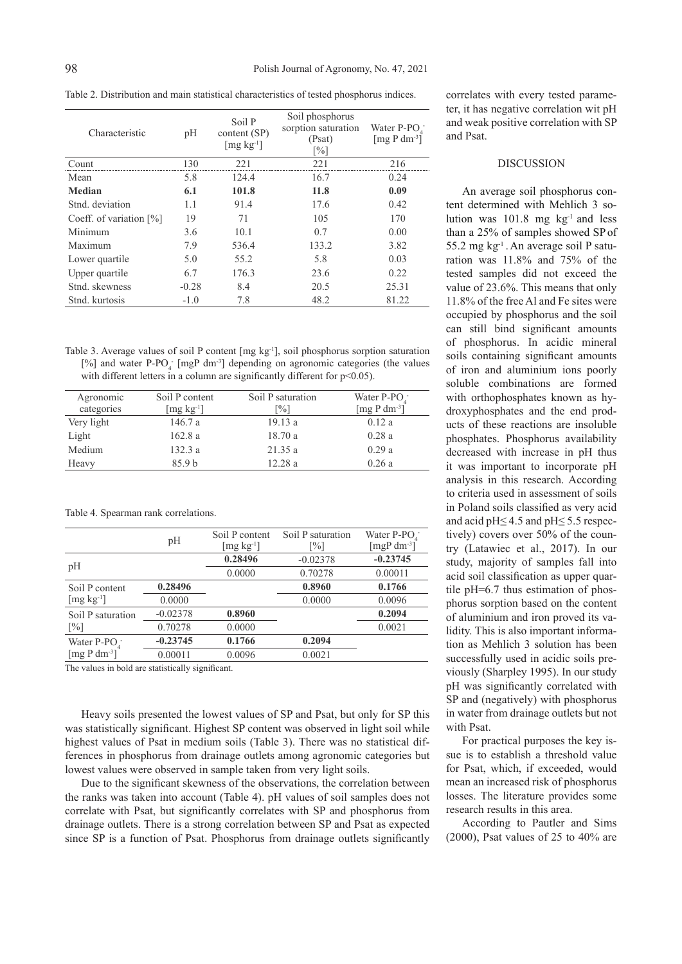Table 2. Distribution and main statistical characteristics of tested phosphorus indices.

| Characteristic             | pH      | Soil P<br>content (SP)<br>$\left[\text{mg kg}^{-1}\right]$ | Soil phosphorus<br>sorption saturation<br>(Psat)<br>$\lceil\% \rceil$ | Water P-PO.<br>$\left[\text{mg} \, \text{P} \, \text{dm}^{3}\right]$ |
|----------------------------|---------|------------------------------------------------------------|-----------------------------------------------------------------------|----------------------------------------------------------------------|
| Count                      | 130     | 221                                                        | 221                                                                   | 216                                                                  |
| Mean                       | 5.8     | 124.4                                                      | 16.7                                                                  | 0.24                                                                 |
| Median                     | 6.1     | 101.8                                                      | 11.8                                                                  | 0.09                                                                 |
| Stnd. deviation            | 1.1     | 91.4                                                       | 17.6                                                                  | 0.42                                                                 |
| Coeff. of variation $[\%]$ | 19      | 71                                                         | 105                                                                   | 170                                                                  |
| Minimum                    | 3.6     | 10.1                                                       | 0.7                                                                   | 0.00                                                                 |
| Maximum                    | 7.9     | 536.4                                                      | 133.2                                                                 | 3.82                                                                 |
| Lower quartile             | 5.0     | 55.2                                                       | 5.8                                                                   | 0.03                                                                 |
| Upper quartile             | 6.7     | 176.3                                                      | 23.6                                                                  | 0.22                                                                 |
| Stnd. skewness             | $-0.28$ | 8.4                                                        | 20.5                                                                  | 25.31                                                                |
| Stnd. kurtosis             | $-1.0$  | 7.8                                                        | 48.2                                                                  | 81.22                                                                |

Table 3. Average values of soil P content [mg kg-1], soil phosphorus sorption saturation [%] and water P-PO<sub>4</sub> [mgP dm<sup>-3</sup>] depending on agronomic categories (the values with different letters in a column are significantly different for p<0.05).

| Agronomic<br>categories | Soil P content<br>$\left[\text{mg kg}^{-1}\right]$ | Soil P saturation<br>$\lceil\% \rceil$ | Water $P-PO_{\lambda}^-$<br>[ $mg P dm^{-3}$ ] |
|-------------------------|----------------------------------------------------|----------------------------------------|------------------------------------------------|
| Very light              | 146.7a                                             | 19.13a                                 | 0.12a                                          |
| Light                   | 162.8a                                             | 18.70a                                 | 0.28a                                          |
| Medium                  | 132.3 a                                            | 21.35a                                 | 0.29a                                          |
| Heavy                   | 85.9 <sub>b</sub>                                  | 12.28a                                 | 0.26a                                          |

Table 4. Spearman rank correlations.

|                                                                  | pH         | Soil P content<br>$\left[\text{mg kg}^{-1}\right]$ | Soil P saturation<br>[%] | Water $P-PO_1^-$<br>$[mgP dm^{-3}]$ |
|------------------------------------------------------------------|------------|----------------------------------------------------|--------------------------|-------------------------------------|
| pH                                                               |            | 0.28496                                            | $-0.02378$               | $-0.23745$                          |
|                                                                  |            | 0.0000                                             | 0.70278                  | 0.00011                             |
| Soil P content<br>$\left[\text{mg kg}^{-1}\right]$               | 0.28496    |                                                    | 0.8960                   | 0.1766                              |
|                                                                  | 0.0000     |                                                    | 0.0000                   | 0.0096                              |
| Soil P saturation<br>$[\%]$                                      | $-0.02378$ | 0.8960                                             |                          | 0.2094                              |
|                                                                  | 0.70278    | 0.0000                                             |                          | 0.0021                              |
| Water $P-PO_1^-$<br>$\lceil \text{mg } P \text{ dm}^{-3} \rceil$ | $-0.23745$ | 0.1766                                             | 0.2094                   |                                     |
|                                                                  | 0.00011    | 0.0096                                             | 0.0021                   |                                     |

The values in bold are statistically significant.

Heavy soils presented the lowest values of SP and Psat, but only for SP this was statistically significant. Highest SP content was observed in light soil while highest values of Psat in medium soils (Table 3). There was no statistical differences in phosphorus from drainage outlets among agronomic categories but lowest values were observed in sample taken from very light soils.

Due to the significant skewness of the observations, the correlation between the ranks was taken into account (Table 4). pH values of soil samples does not correlate with Psat, but significantly correlates with SP and phosphorus from drainage outlets. There is a strong correlation between SP and Psat as expected since SP is a function of Psat. Phosphorus from drainage outlets significantly correlates with every tested parameter, it has negative correlation wit pH and weak positive correlation with SP and Psat.

#### DISCUSSION

An average soil phosphorus content determined with Mehlich 3 solution was 101.8 mg kg-1 and less than a 25% of samples showed SPof 55.2 mg kg-1 .An average soil P saturation was 11.8% and 75% of the tested samples did not exceed the value of 23.6%. This means that only 11.8% of the free Al and Fe sites were occupied by phosphorus and the soil can still bind significant amounts of phosphorus. In acidic mineral soils containing significant amounts of iron and aluminium ions poorly soluble combinations are formed with orthophosphates known as hydroxyphosphates and the end products of these reactions are insoluble phosphates. Phosphorus availability decreased with increase in pH thus it was important to incorporate pH analysis in this research. According to criteria used in assessment of soils in Poland soils classified as very acid and acid pH $\leq$  4.5 and pH $\leq$  5.5 respectively) covers over 50% of the country (Latawiec et al., 2017). In our study, majority of samples fall into acid soil classification as upper quartile pH=6.7 thus estimation of phosphorus sorption based on the content of aluminium and iron proved its validity. This is also important information as Mehlich 3 solution has been successfully used in acidic soils previously (Sharpley 1995). In our study pH was significantly correlated with SP and (negatively) with phosphorus in water from drainage outlets but not with Psat.

For practical purposes the key issue is to establish a threshold value for Psat, which, if exceeded, would mean an increased risk of phosphorus losses. The literature provides some research results in this area.

According to Pautler and Sims (2000), Psat values of 25 to 40% are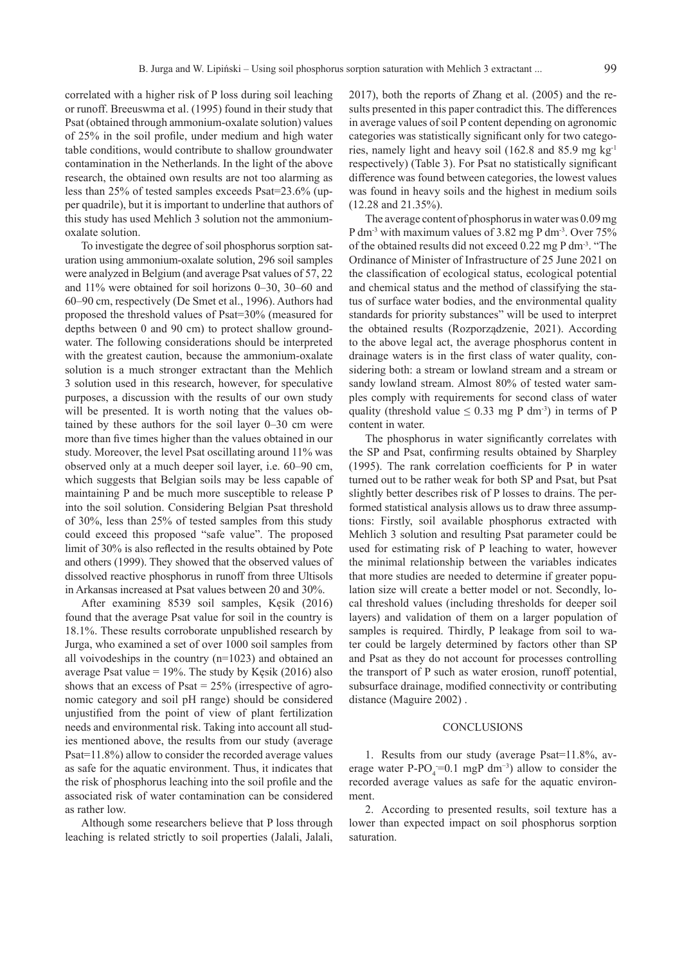correlated with a higher risk of P loss during soil leaching or runoff. Breeuswma et al. (1995) found in their study that Psat (obtained through ammonium-oxalate solution) values of 25% in the soil profile, under medium and high water table conditions, would contribute to shallow groundwater contamination in the Netherlands. In the light of the above research, the obtained own results are not too alarming as less than 25% of tested samples exceeds Psat=23.6% (upper quadrile), but it is important to underline that authors of this study has used Mehlich 3 solution not the ammoniumoxalate solution.

To investigate the degree of soil phosphorus sorption saturation using ammonium-oxalate solution, 296 soil samples were analyzed in Belgium (and average Psat values of 57, 22 and 11% were obtained for soil horizons 0–30, 30–60 and 60–90 cm, respectively (De Smet et al., 1996). Authors had proposed the threshold values of Psat=30% (measured for depths between 0 and 90 cm) to protect shallow groundwater. The following considerations should be interpreted with the greatest caution, because the ammonium-oxalate solution is a much stronger extractant than the Mehlich 3 solution used in this research, however, for speculative purposes, a discussion with the results of our own study will be presented. It is worth noting that the values obtained by these authors for the soil layer 0–30 cm were more than five times higher than the values obtained in our study. Moreover, the level Psat oscillating around 11% was observed only at a much deeper soil layer, i.e. 60–90 cm, which suggests that Belgian soils may be less capable of maintaining P and be much more susceptible to release P into the soil solution. Considering Belgian Psat threshold of 30%, less than 25% of tested samples from this study could exceed this proposed "safe value". The proposed limit of 30% is also reflected in the results obtained by Pote and others (1999). They showed that the observed values of dissolved reactive phosphorus in runoff from three Ultisols in Arkansas increased at Psat values between 20 and 30%.

After examining 8539 soil samples, Kęsik (2016) found that the average Psat value for soil in the country is 18.1%. These results corroborate unpublished research by Jurga, who examined a set of over 1000 soil samples from all voivodeships in the country (n=1023) and obtained an average Psat value =  $19\%$ . The study by Kęsik (2016) also shows that an excess of Psat  $= 25\%$  (irrespective of agronomic category and soil pH range) should be considered unjustified from the point of view of plant fertilization needs and environmental risk. Taking into account all studies mentioned above, the results from our study (average Psat=11.8%) allow to consider the recorded average values as safe for the aquatic environment. Thus, it indicates that the risk of phosphorus leaching into the soil profile and the associated risk of water contamination can be considered as rather low.

Although some researchers believe that P loss through leaching is related strictly to soil properties (Jalali, Jalali,

2017), both the reports of Zhang et al. (2005) and the results presented in this paper contradict this. The differences in average values of soil P content depending on agronomic categories was statistically significant only for two categories, namely light and heavy soil (162.8 and 85.9 mg kg-1 respectively) (Table 3). For Psat no statistically significant difference was found between categories, the lowest values was found in heavy soils and the highest in medium soils (12.28 and 21.35%).

The average content of phosphorus in water was 0.09 mg P dm<sup>-3</sup> with maximum values of 3.82 mg P dm<sup>-3</sup>. Over 75% of the obtained results did not exceed 0.22 mg P dm-3. "The Ordinance of Minister of Infrastructure of 25 June 2021 on the classification of ecological status, ecological potential and chemical status and the method of classifying the status of surface water bodies, and the environmental quality standards for priority substances" will be used to interpret the obtained results (Rozporządzenie, 2021). According to the above legal act, the average phosphorus content in drainage waters is in the first class of water quality, considering both: a stream or lowland stream and a stream or sandy lowland stream. Almost 80% of tested water samples comply with requirements for second class of water quality (threshold value  $\leq$  0.33 mg P dm<sup>-3</sup>) in terms of P content in water.

The phosphorus in water significantly correlates with the SP and Psat, confirming results obtained by Sharpley (1995). The rank correlation coefficients for P in water turned out to be rather weak for both SP and Psat, but Psat slightly better describes risk of P losses to drains. The performed statistical analysis allows us to draw three assumptions: Firstly, soil available phosphorus extracted with Mehlich 3 solution and resulting Psat parameter could be used for estimating risk of P leaching to water, however the minimal relationship between the variables indicates that more studies are needed to determine if greater population size will create a better model or not. Secondly, local threshold values (including thresholds for deeper soil layers) and validation of them on a larger population of samples is required. Thirdly, P leakage from soil to water could be largely determined by factors other than SP and Psat as they do not account for processes controlling the transport of P such as water erosion, runoff potential, subsurface drainage, modified connectivity or contributing distance (Maguire 2002) .

#### **CONCLUSIONS**

1. Results from our study (average Psat=11.8%, average water P-PO<sub>4</sub>=0.1 mgP dm<sup>-3</sup>) allow to consider the recorded average values as safe for the aquatic environment.

2. According to presented results, soil texture has a lower than expected impact on soil phosphorus sorption saturation.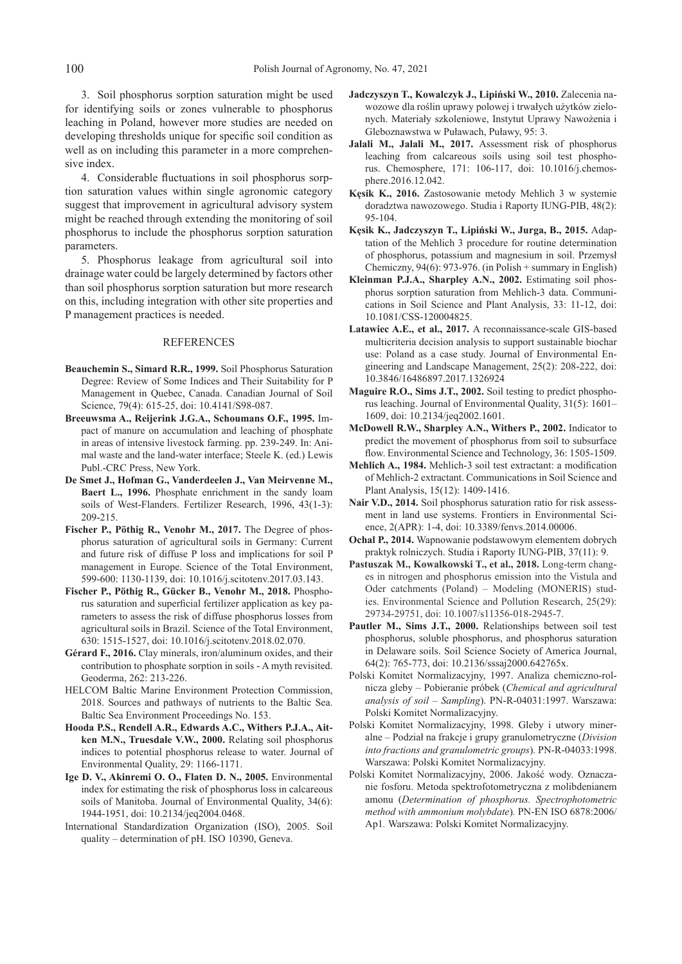3. Soil phosphorus sorption saturation might be used for identifying soils or zones vulnerable to phosphorus leaching in Poland, however more studies are needed on developing thresholds unique for specific soil condition as well as on including this parameter in a more comprehensive index.

4. Considerable fluctuations in soil phosphorus sorption saturation values within single agronomic category suggest that improvement in agricultural advisory system might be reached through extending the monitoring of soil phosphorus to include the phosphorus sorption saturation parameters.

5. Phosphorus leakage from agricultural soil into drainage water could be largely determined by factors other than soil phosphorus sorption saturation but more research on this, including integration with other site properties and P management practices is needed.

## REFERENCES

- **Beauchemin S., Simard R.R., 1999.** Soil Phosphorus Saturation Degree: Review of Some Indices and Their Suitability for P Management in Quebec, Canada. Canadian Journal of Soil Science, 79(4): 615-25, doi: 10.4141/S98-087.
- **Breeuwsma A., Reijerink J.G.A., Schoumans O.F., 1995.** Impact of manure on accumulation and leaching of phosphate in areas of intensive livestock farming. pp. 239-249. In: Animal waste and the land-water interface; Steele K. (ed.) Lewis Publ.-CRC Press, New York.
- **De Smet J., Hofman G., Vanderdeelen J., Van Meirvenne M., Baert L., 1996.** Phosphate enrichment in the sandy loam soils of West-Flanders. Fertilizer Research, 1996, 43(1-3): 209-215.
- Fischer P., Pöthig R., Venohr M., 2017. The Degree of phosphorus saturation of agricultural soils in Germany: Current and future risk of diffuse P loss and implications for soil P management in Europe. Science of the Total Environment, 599-600: 1130-1139, doi: 10.1016/j.scitotenv.2017.03.143.
- **Fischer P., Pöthig R., Gücker B., Venohr M., 2018.** Phosphorus saturation and superficial fertilizer application as key parameters to assess the risk of diffuse phosphorus losses from agricultural soils in Brazil. Science of the Total Environment, 630: 1515-1527, doi: 10.1016/j.scitotenv.2018.02.070.
- **Gérard F., 2016.** Clay minerals, iron/aluminum oxides, and their contribution to phosphate sorption in soils - A myth revisited. Geoderma, 262: 213-226.
- HELCOM Baltic Marine Environment Protection Commission, 2018. Sources and pathways of nutrients to the Baltic Sea. Baltic Sea Environment Proceedings No. 153.
- **Hooda P.S., Rendell A.R., Edwards A.C., Withers P.J.A., Aitken M.N., Truesdale V.W., 2000.** Relating soil phosphorus indices to potential phosphorus release to water. Journal of Environmental Quality, 29: 1166-1171.
- **Ige D. V., Akinremi O. O., Flaten D. N., 2005.** Environmental index for estimating the risk of phosphorus loss in calcareous soils of Manitoba. Journal of Environmental Quality, 34(6): 1944-1951, doi: 10.2134/jeq2004.0468.
- International Standardization Organization (ISO), 2005. Soil quality – determination of pH. ISO 10390, Geneva.
- **Jadczyszyn T., Kowalczyk J., Lipiński W., 2010.** Zalecenia nawozowe dla roślin uprawy polowej i trwałych użytków zielonych. Materiały szkoleniowe, Instytut Uprawy Nawożenia i Gleboznawstwa w Puławach, Puławy, 95: 3.
- **Jalali M., Jalali M., 2017.** Assessment risk of phosphorus leaching from calcareous soils using soil test phosphorus. Chemosphere, 171: 106-117, doi: 10.1016/j.chemosphere.2016.12.042.
- **Kęsik K., 2016.** Zastosowanie metody Mehlich 3 w systemie doradztwa nawozowego. Studia i Raporty IUNG-PIB, 48(2): 95-104.
- **Kęsik K., Jadczyszyn T., Lipiński W., Jurga, B., 2015.** Adaptation of the Mehlich 3 procedure for routine determination of phosphorus, potassium and magnesium in soil. Przemysł Chemiczny, 94(6): 973-976. (in Polish + summary in English)
- **Kleinman P.J.A., Sharpley A.N., 2002.** Estimating soil phosphorus sorption saturation from Mehlich-3 data. Communications in Soil Science and Plant Analysis, 33: 11-12, doi: 10.1081/CSS-120004825.
- **Latawiec A.E., et al., 2017.** A reconnaissance-scale GIS-based multicriteria decision analysis to support sustainable biochar use: Poland as a case study. Journal of Environmental Engineering and Landscape Management, 25(2): 208-222, doi: 10.3846/16486897.2017.1326924
- **Maguire R.O., Sims J.T., 2002.** Soil testing to predict phosphorus leaching. Journal of Environmental Quality, 31(5): 1601– 1609, doi: 10.2134/jeq2002.1601.
- **McDowell R.W., Sharpley A.N., Withers P., 2002.** Indicator to predict the movement of phosphorus from soil to subsurface flow. Environmental Science and Technology, 36: 1505-1509.
- **Mehlich A., 1984.** Mehlich-3 soil test extractant: a modification of Mehlich-2 extractant. Communications in Soil Science and Plant Analysis, 15(12): 1409-1416.
- **Nair V.D., 2014.** Soil phosphorus saturation ratio for risk assessment in land use systems. Frontiers in Environmental Science, 2(APR): 1-4, doi: 10.3389/fenvs.2014.00006.
- **Ochal P., 2014.** Wapnowanie podstawowym elementem dobrych praktyk rolniczych. Studia i Raporty IUNG-PIB, 37(11): 9.
- **Pastuszak M., Kowalkowski T., et al., 2018.** Long-term changes in nitrogen and phosphorus emission into the Vistula and Oder catchments (Poland) – Modeling (MONERIS) studies. Environmental Science and Pollution Research, 25(29): 29734-29751, doi: 10.1007/s11356-018-2945-7.
- **Pautler M., Sims J.T., 2000.** Relationships between soil test phosphorus, soluble phosphorus, and phosphorus saturation in Delaware soils. Soil Science Society of America Journal, 64(2): 765-773, doi: 10.2136/sssaj2000.642765x.
- Polski Komitet Normalizacyjny, 1997. Analiza chemiczno-rolnicza gleby – Pobieranie próbek (*Chemical and agricultural analysis of soil – Sampling*). PN-R-04031:1997. Warszawa: Polski Komitet Normalizacyjny.
- Polski Komitet Normalizacyjny, 1998. Gleby i utwory mineralne – Podział na frakcje i grupy granulometryczne (*Division into fractions and granulometric groups*)*.* PN-R-04033:1998. Warszawa: Polski Komitet Normalizacyjny.
- Polski Komitet Normalizacyjny, 2006. Jakość wody. Oznaczanie fosforu. Metoda spektrofotometryczna z molibdenianem amonu (*Determination of phosphorus. Spectrophotometric method with ammonium molybdate*)*.* PN-EN ISO 6878:2006/ Ap1*.* Warszawa: Polski Komitet Normalizacyjny.